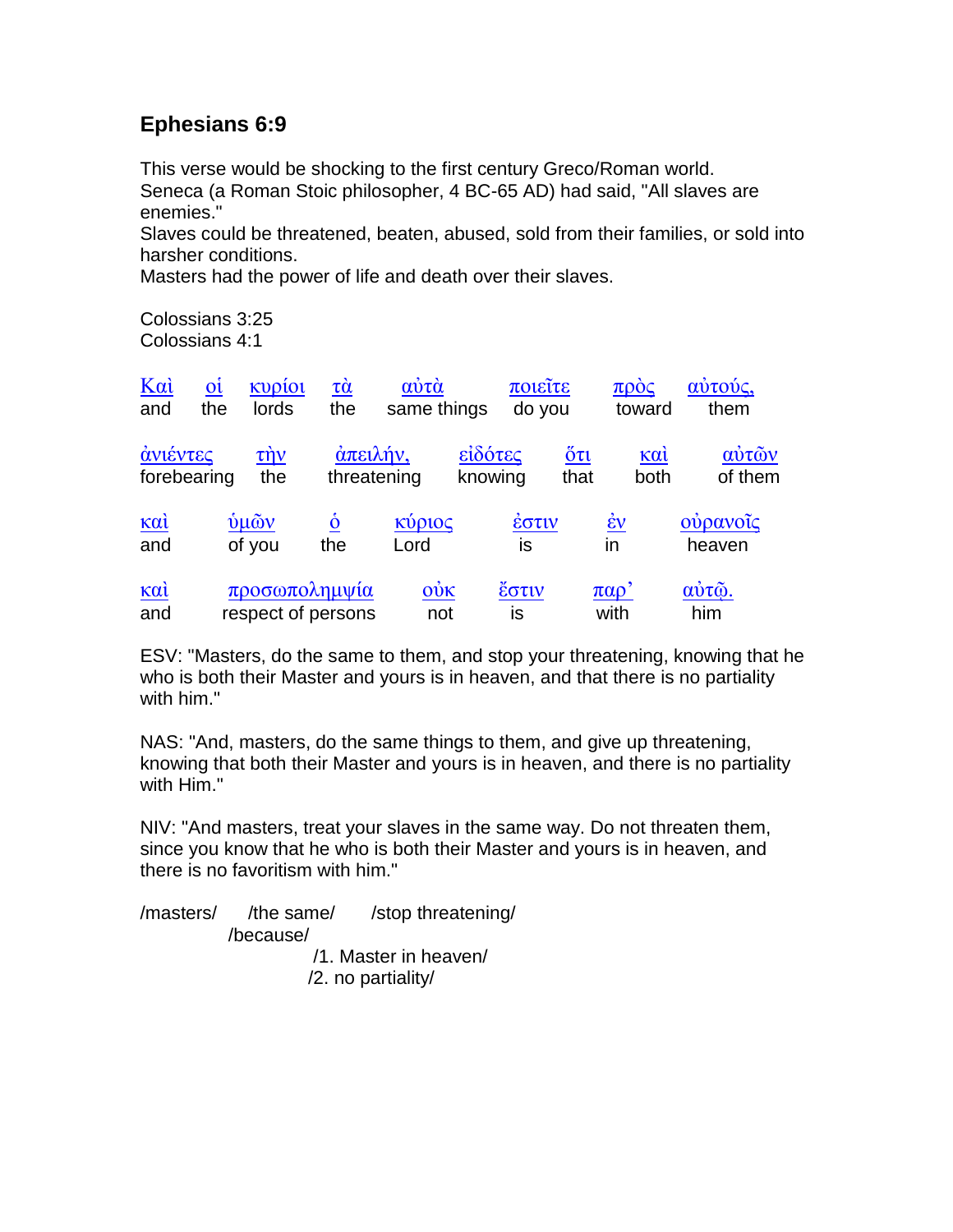## **Ephesians 6:9**

This verse would be shocking to the first century Greco/Roman world. Seneca (a Roman Stoic philosopher, 4 BC-65 AD) had said, "All slaves are enemies."

Slaves could be threatened, beaten, abused, sold from their families, or sold into harsher conditions.

Masters had the power of life and death over their slaves.

Colossians 3:25 Colossians 4:1

| $K\alpha i$<br>and                                                       | $o_i$<br>the | κυρίοι<br>lords                     | $\tau\grave{\alpha}$<br>the | αύτά<br>same things        |                    | ποιείτε<br>do you |                                           | $\pi \rho \dot{\mathrm{o}} \varsigma$<br>toward | αύτούς,<br>them       |
|--------------------------------------------------------------------------|--------------|-------------------------------------|-----------------------------|----------------------------|--------------------|-------------------|-------------------------------------------|-------------------------------------------------|-----------------------|
| ανιέντες<br>forebearing                                                  |              | $\tau \dot{\eta} \nu$<br>the        | άπειλήν,<br>threatening     |                            | είδότες<br>knowing |                   | $\ddot{\mathrm{o}}\tau\mathrm{u}$<br>that | καί<br>both                                     | αύτῶν<br>of them      |
| $\underline{\kappa} \underline{\alpha} \underline{\grave{\iota}}$<br>and |              | ύμῶν<br>of you                      | $\dot{\mathbf{o}}$<br>the   | κύριος<br>Lord             |                    | έστιν<br>is       | $\underline{\dot{\epsilon}v}$<br>in       |                                                 | ούρανοΐς<br>heaven    |
| $\underline{\kappa} \underline{\alpha} \underline{\grave{\iota}}$<br>and |              | προσωπολημψία<br>respect of persons |                             | $\dot{\mathrm{ow}}$<br>not |                    | έστιν<br>is       | $\pi\alpha\rho'$<br>with                  |                                                 | $\vec{\omega}$<br>him |

ESV: "Masters, do the same to them, and stop your threatening, knowing that he who is both their Master and yours is in heaven, and that there is no partiality with him."

NAS: "And, masters, do the same things to them, and give up threatening, knowing that both their Master and yours is in heaven, and there is no partiality with Him."

NIV: "And masters, treat your slaves in the same way. Do not threaten them, since you know that he who is both their Master and yours is in heaven, and there is no favoritism with him."

/masters/ /the same/ /stop threatening/ /because/ /1. Master in heaven/

/2. no partiality/